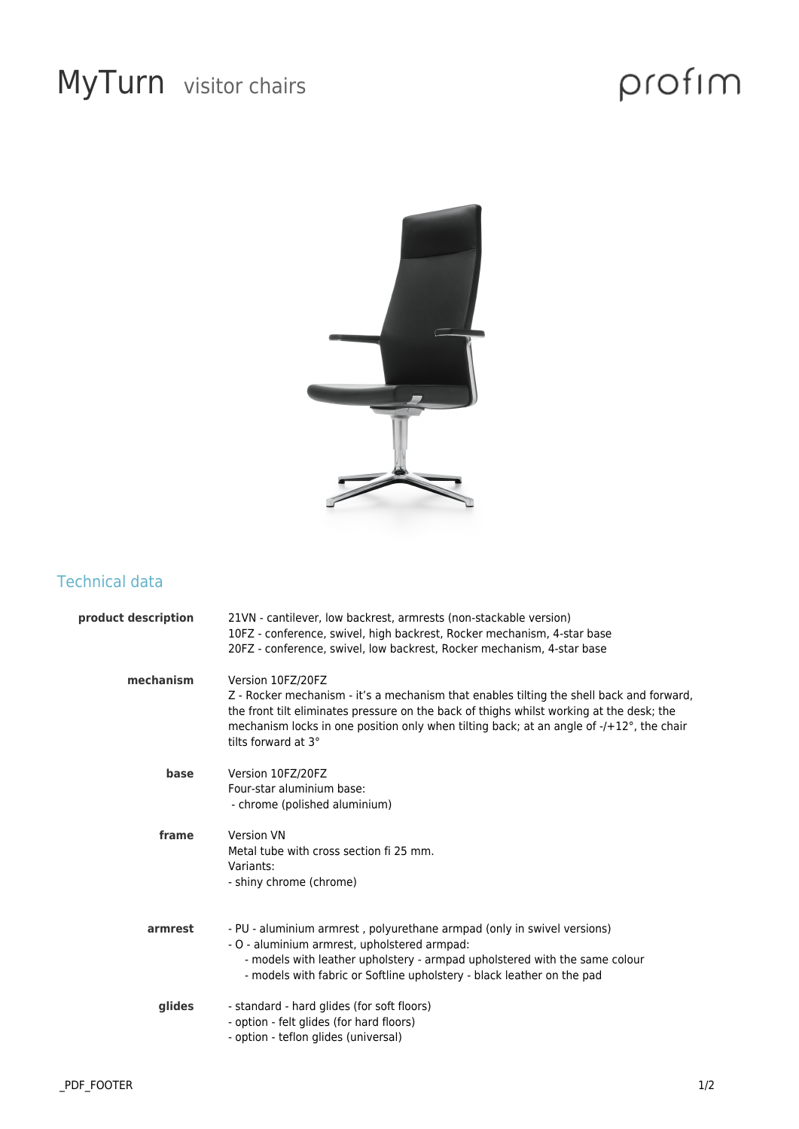## MyTurn visitor chairs

# profim



### Technical data

| product description | 21VN - cantilever, low backrest, armrests (non-stackable version)<br>10FZ - conference, swivel, high backrest, Rocker mechanism, 4-star base<br>20FZ - conference, swivel, low backrest, Rocker mechanism, 4-star base                                                                                                       |
|---------------------|------------------------------------------------------------------------------------------------------------------------------------------------------------------------------------------------------------------------------------------------------------------------------------------------------------------------------|
| mechanism           | Version 10FZ/20FZ<br>Z - Rocker mechanism - it's a mechanism that enables tilting the shell back and forward,<br>the front tilt eliminates pressure on the back of thighs whilst working at the desk; the<br>mechanism locks in one position only when tilting back; at an angle of -/+12°, the chair<br>tilts forward at 3° |
| base                | Version 10FZ/20FZ<br>Four-star aluminium base:<br>- chrome (polished aluminium)                                                                                                                                                                                                                                              |
| frame               | <b>Version VN</b><br>Metal tube with cross section fi 25 mm.<br>Variants:<br>- shiny chrome (chrome)                                                                                                                                                                                                                         |
| armrest             | - PU - aluminium armrest, polyurethane armpad (only in swivel versions)<br>- O - aluminium armrest, upholstered armpad:<br>- models with leather upholstery - armpad upholstered with the same colour<br>- models with fabric or Softline upholstery - black leather on the pad                                              |
| glides              | - standard - hard glides (for soft floors)<br>- option - felt glides (for hard floors)<br>- option - teflon glides (universal)                                                                                                                                                                                               |